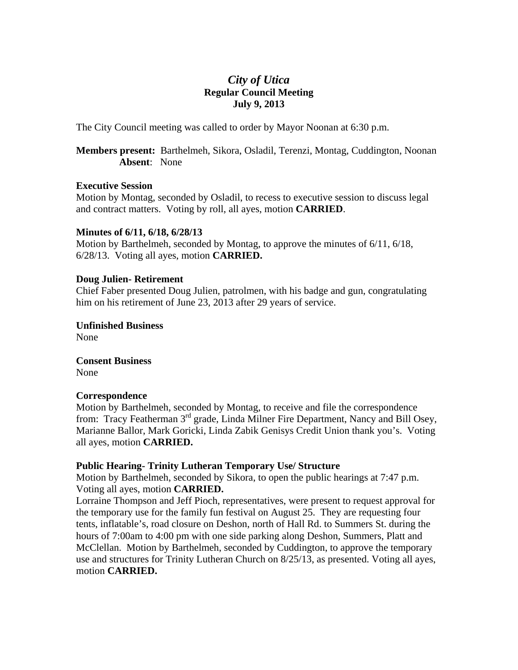# *City of Utica*  **Regular Council Meeting July 9, 2013**

The City Council meeting was called to order by Mayor Noonan at 6:30 p.m.

**Members present:** Barthelmeh, Sikora, Osladil, Terenzi, Montag, Cuddington, Noonan **Absent**: None

# **Executive Session**

Motion by Montag, seconded by Osladil, to recess to executive session to discuss legal and contract matters. Voting by roll, all ayes, motion **CARRIED**.

# **Minutes of 6/11, 6/18, 6/28/13**

Motion by Barthelmeh, seconded by Montag, to approve the minutes of 6/11, 6/18, 6/28/13. Voting all ayes, motion **CARRIED.** 

#### **Doug Julien- Retirement**

Chief Faber presented Doug Julien, patrolmen, with his badge and gun, congratulating him on his retirement of June 23, 2013 after 29 years of service.

**Unfinished Business**  None

**Consent Business**  None

# **Correspondence**

Motion by Barthelmeh, seconded by Montag, to receive and file the correspondence from: Tracy Featherman 3rd grade, Linda Milner Fire Department, Nancy and Bill Osey, Marianne Ballor, Mark Goricki, Linda Zabik Genisys Credit Union thank you's. Voting all ayes, motion **CARRIED.** 

# **Public Hearing- Trinity Lutheran Temporary Use/ Structure**

Motion by Barthelmeh, seconded by Sikora, to open the public hearings at 7:47 p.m. Voting all ayes, motion **CARRIED.**

Lorraine Thompson and Jeff Pioch, representatives, were present to request approval for the temporary use for the family fun festival on August 25. They are requesting four tents, inflatable's, road closure on Deshon, north of Hall Rd. to Summers St. during the hours of 7:00am to 4:00 pm with one side parking along Deshon, Summers, Platt and McClellan. Motion by Barthelmeh, seconded by Cuddington, to approve the temporary use and structures for Trinity Lutheran Church on 8/25/13, as presented. Voting all ayes, motion **CARRIED.**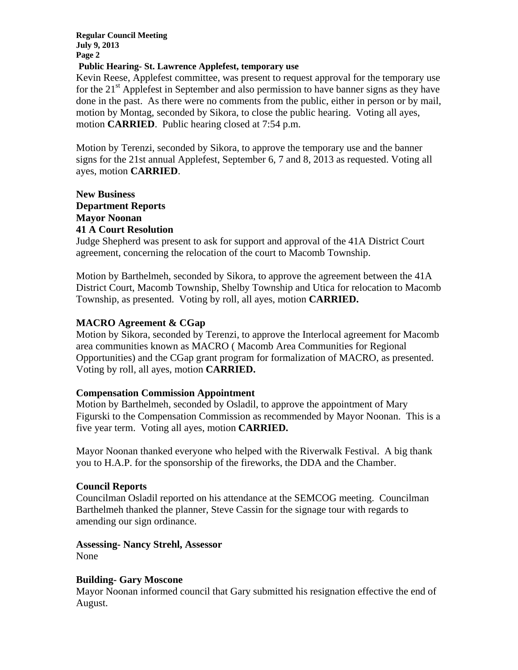**Regular Council Meeting July 9, 2013 Page 2** 

### **Public Hearing- St. Lawrence Applefest, temporary use**

Kevin Reese, Applefest committee, was present to request approval for the temporary use for the  $21<sup>st</sup>$  Applefest in September and also permission to have banner signs as they have done in the past. As there were no comments from the public, either in person or by mail, motion by Montag, seconded by Sikora, to close the public hearing. Voting all ayes, motion **CARRIED**. Public hearing closed at 7:54 p.m.

Motion by Terenzi, seconded by Sikora, to approve the temporary use and the banner signs for the 21st annual Applefest, September 6, 7 and 8, 2013 as requested. Voting all ayes, motion **CARRIED**.

# **New Business Department Reports Mayor Noonan 41 A Court Resolution**

Judge Shepherd was present to ask for support and approval of the 41A District Court agreement, concerning the relocation of the court to Macomb Township.

Motion by Barthelmeh, seconded by Sikora, to approve the agreement between the 41A District Court, Macomb Township, Shelby Township and Utica for relocation to Macomb Township, as presented. Voting by roll, all ayes, motion **CARRIED.** 

# **MACRO Agreement & CGap**

Motion by Sikora, seconded by Terenzi, to approve the Interlocal agreement for Macomb area communities known as MACRO ( Macomb Area Communities for Regional Opportunities) and the CGap grant program for formalization of MACRO, as presented. Voting by roll, all ayes, motion **CARRIED.** 

# **Compensation Commission Appointment**

Motion by Barthelmeh, seconded by Osladil, to approve the appointment of Mary Figurski to the Compensation Commission as recommended by Mayor Noonan. This is a five year term. Voting all ayes, motion **CARRIED.** 

Mayor Noonan thanked everyone who helped with the Riverwalk Festival. A big thank you to H.A.P. for the sponsorship of the fireworks, the DDA and the Chamber.

# **Council Reports**

Councilman Osladil reported on his attendance at the SEMCOG meeting. Councilman Barthelmeh thanked the planner, Steve Cassin for the signage tour with regards to amending our sign ordinance.

**Assessing- Nancy Strehl, Assessor**  None

# **Building- Gary Moscone**

Mayor Noonan informed council that Gary submitted his resignation effective the end of August.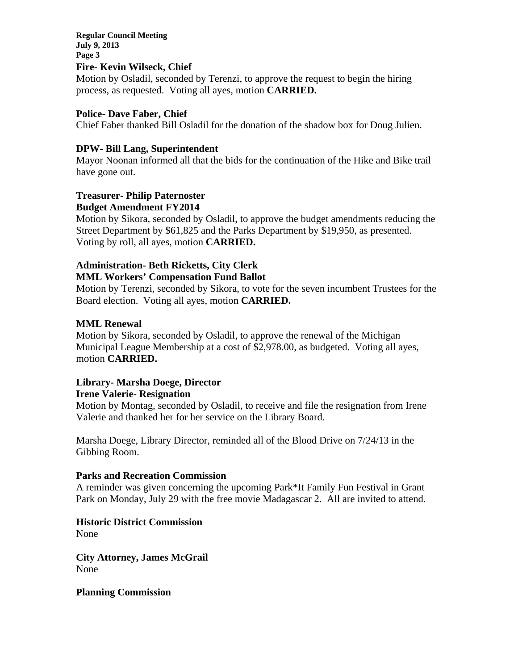# **Regular Council Meeting July 9, 2013 Page 3**

# **Fire- Kevin Wilseck, Chief**

Motion by Osladil, seconded by Terenzi, to approve the request to begin the hiring process, as requested. Voting all ayes, motion **CARRIED.** 

# **Police- Dave Faber, Chief**

Chief Faber thanked Bill Osladil for the donation of the shadow box for Doug Julien.

# **DPW- Bill Lang, Superintendent**

Mayor Noonan informed all that the bids for the continuation of the Hike and Bike trail have gone out.

#### **Treasurer- Philip Paternoster Budget Amendment FY2014**

Motion by Sikora, seconded by Osladil, to approve the budget amendments reducing the Street Department by \$61,825 and the Parks Department by \$19,950, as presented. Voting by roll, all ayes, motion **CARRIED.** 

# **Administration- Beth Ricketts, City Clerk**

### **MML Workers' Compensation Fund Ballot**

Motion by Terenzi, seconded by Sikora, to vote for the seven incumbent Trustees for the Board election. Voting all ayes, motion **CARRIED.** 

# **MML Renewal**

Motion by Sikora, seconded by Osladil, to approve the renewal of the Michigan Municipal League Membership at a cost of \$2,978.00, as budgeted. Voting all ayes, motion **CARRIED.** 

# **Library- Marsha Doege, Director**

#### **Irene Valerie- Resignation**

Motion by Montag, seconded by Osladil, to receive and file the resignation from Irene Valerie and thanked her for her service on the Library Board.

Marsha Doege, Library Director, reminded all of the Blood Drive on 7/24/13 in the Gibbing Room.

# **Parks and Recreation Commission**

A reminder was given concerning the upcoming Park\*It Family Fun Festival in Grant Park on Monday, July 29 with the free movie Madagascar 2. All are invited to attend.

**Historic District Commission** 

None

**City Attorney, James McGrail**  None

**Planning Commission**